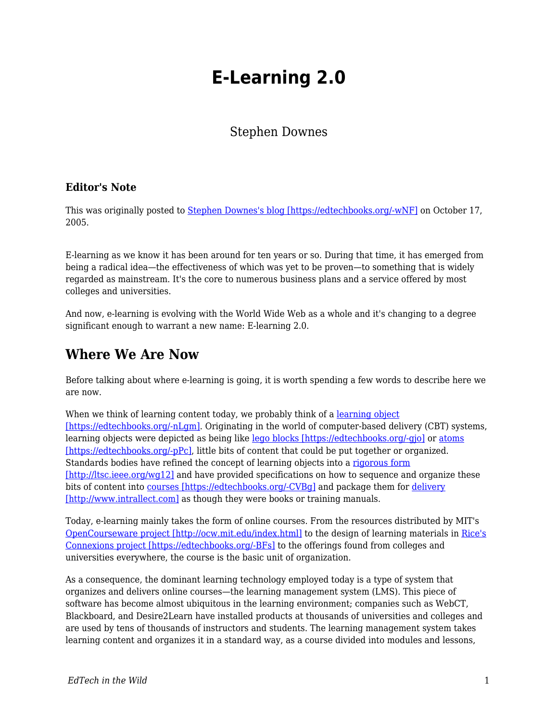# **E-Learning 2.0**

#### Stephen Downes

#### **Editor's Note**

This was originally posted to [Stephen Downes's blog \[https://edtechbooks.org/-wNF\]](https://www.downes.ca/cgi-bin/page.cgi?post=31741) on October 17, 2005.

E-learning as we know it has been around for ten years or so. During that time, it has emerged from being a radical idea—the effectiveness of which was yet to be proven—to something that is widely regarded as mainstream. It's the core to numerous business plans and a service offered by most colleges and universities.

And now, e-learning is evolving with the World Wide Web as a whole and it's changing to a degree significant enough to warrant a new name: E-learning 2.0.

### **Where We Are Now**

Before talking about where e-learning is going, it is worth spending a few words to describe here we are now.

When we think of learning content today, we probably think of a [learning object](http://www.irrodl.org/content/v2.1/downes.html) [\[https://edtechbooks.org/-nLgm\]](http://www.irrodl.org/content/v2.1/downes.html). Originating in the world of computer-based delivery (CBT) systems, learning objects were depicted as being like [lego blocks \[https://edtechbooks.org/-gjo\]](http://www.learnativity.com/standards.html) or [atoms](http://www.reusability.org/read) [\[https://edtechbooks.org/-pPc\]](http://www.reusability.org/read), little bits of content that could be put together or organized. Standards bodies have refined the concept of learning objects into a [rigorous form](http://ltsc.ieee.org/wg12) [\[http://ltsc.ieee.org/wg12\]](http://ltsc.ieee.org/wg12) and have provided specifications on how to sequence and organize these bits of content into [courses \[https://edtechbooks.org/-CVBg\]](http://www.imsglobal.org/learningdesign) and package them for [delivery](http://www.intrallect.com) [\[http://www.intrallect.com\]](http://www.intrallect.com) as though they were books or training manuals.

Today, e-learning mainly takes the form of online courses. From the resources distributed by MIT's [OpenCourseware project \[http://ocw.mit.edu/index.html\]](http://ocw.mit.edu/index.html) to the design of learning materials in [Rice's](http://cnx.rice.edu/content/col10208/latest) [Connexions project \[https://edtechbooks.org/-BFs\]](http://cnx.rice.edu/content/col10208/latest) to the offerings found from colleges and universities everywhere, the course is the basic unit of organization.

As a consequence, the dominant learning technology employed today is a type of system that organizes and delivers online courses—the learning management system (LMS). This piece of software has become almost ubiquitous in the learning environment; companies such as WebCT, Blackboard, and Desire2Learn have installed products at thousands of universities and colleges and are used by tens of thousands of instructors and students. The learning management system takes learning content and organizes it in a standard way, as a course divided into modules and lessons,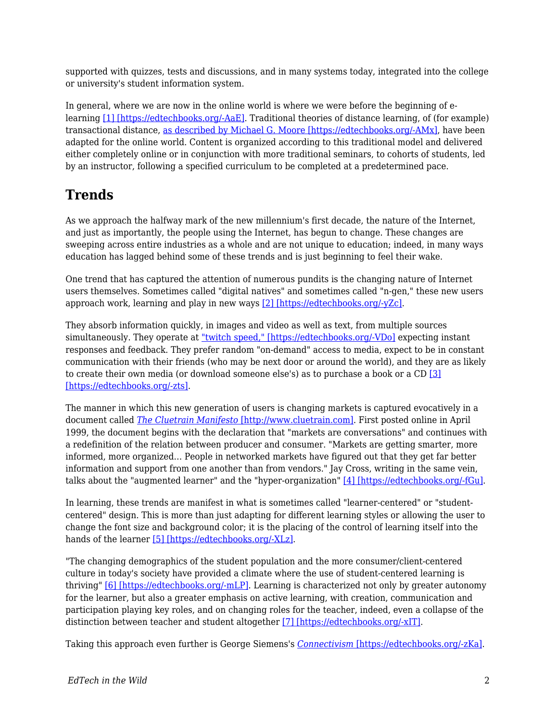supported with quizzes, tests and discussions, and in many systems today, integrated into the college or university's student information system.

In general, where we are now in the online world is where we were before the beginning of elearning [\[1\] \[https://edtechbooks.org/-AaE\]](http://www.usask.ca/education/coursework/802papers/mergel/brenda.htm). Traditional theories of distance learning, of (for example) transactional distance, [as described by Michael G. Moore \[https://edtechbooks.org/-AMx\]](http://www.ed.psu.edu/acsde/deos/deosnews/deosnews1_25.asp), have been adapted for the online world. Content is organized according to this traditional model and delivered either completely online or in conjunction with more traditional seminars, to cohorts of students, led by an instructor, following a specified curriculum to be completed at a predetermined pace.

# **Trends**

As we approach the halfway mark of the new millennium's first decade, the nature of the Internet, and just as importantly, the people using the Internet, has begun to change. These changes are sweeping across entire industries as a whole and are not unique to education; indeed, in many ways education has lagged behind some of these trends and is just beginning to feel their wake.

One trend that has captured the attention of numerous pundits is the changing nature of Internet users themselves. Sometimes called "digital natives" and sometimes called "n-gen," these new users approach work, learning and play in new ways [\[2\] \[https://edtechbooks.org/-yZc\]](http://www.growingupdigital.com).

They absorb information quickly, in images and video as well as text, from multiple sources simultaneously. They operate at ["twitch speed," \[https://edtechbooks.org/-VDo\]](http://www.games2train.com/site/html/article.html) expecting instant responses and feedback. They prefer random "on-demand" access to media, expect to be in constant communication with their friends (who may be next door or around the world), and they are as likely to create their own media (or download someone else's) as to purchase a book or a CD [\[3\]](http://www.apple.com/au/education/digitalkids/disconnect/landscape.html) [\[https://edtechbooks.org/-zts\]](http://www.apple.com/au/education/digitalkids/disconnect/landscape.html).

The manner in which this new generation of users is changing markets is captured evocatively in a document called *[The Cluetrain Manifesto](http://www.cluetrain.com)* [\[http://www.cluetrain.com\]](http://www.cluetrain.com). First posted online in April 1999, the document begins with the declaration that "markets are conversations" and continues with a redefinition of the relation between producer and consumer. "Markets are getting smarter, more informed, more organized… People in networked markets have figured out that they get far better information and support from one another than from vendors." Jay Cross, writing in the same vein, talks about the "augmented learner" and the "hyper-organization" [\[4\] \[https://edtechbooks.org/-fGu\]](http://internettime.pa.v4.breezecentral.com/p20304607).

In learning, these trends are manifest in what is sometimes called "learner-centered" or "studentcentered" design. This is more than just adapting for different learning styles or allowing the user to change the font size and background color; it is the placing of the control of learning itself into the hands of the learner [\[5\] \[https://edtechbooks.org/-XLz\].](http://pdonline.ascd.org/pd_online/dol02/1992marzano_chapter1.html)

"The changing demographics of the student population and the more consumer/client-centered culture in today's society have provided a climate where the use of student-centered learning is thriving" [\[6\] \[https://edtechbooks.org/-mLP\].](http://www.aishe.org/readings/2005-1/oneill-mcmahon-Tues_19th_Oct_SCL.html) Learning is characterized not only by greater autonomy for the learner, but also a greater emphasis on active learning, with creation, communication and participation playing key roles, and on changing roles for the teacher, indeed, even a collapse of the distinction between teacher and student altogether [\[7\] \[https://edtechbooks.org/-xIT\]](http://www.downes.ca/cgi-bin/website/view.cgi?dbs=Article&key=1120241890).

Taking this approach even further is George Siemens's *[Connectivism](http://www.elearnspace.org/Articles/connectivism.htm)* [\[https://edtechbooks.org/-zKa\]](http://www.elearnspace.org/Articles/connectivism.htm).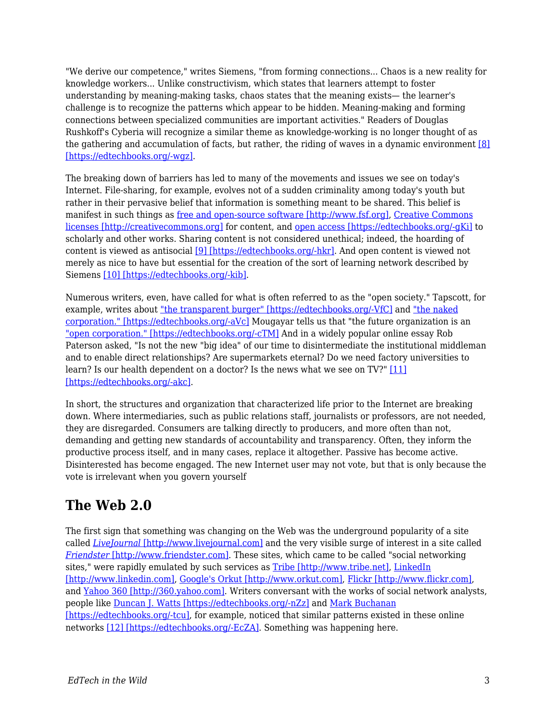"We derive our competence," writes Siemens, "from forming connections... Chaos is a new reality for knowledge workers... Unlike constructivism, which states that learners attempt to foster understanding by meaning-making tasks, chaos states that the meaning exists— the learner's challenge is to recognize the patterns which appear to be hidden. Meaning-making and forming connections between specialized communities are important activities." Readers of Douglas Rushkoff's Cyberia will recognize a similar theme as knowledge-working is no longer thought of as the gathering and accumulation of facts, but rather, the riding of waves in a dynamic environment [\[8\]](http://www.voidspace.org.uk/cyberpunk/cyberia.shtml) [\[https://edtechbooks.org/-wgz\].](http://www.voidspace.org.uk/cyberpunk/cyberia.shtml)

The breaking down of barriers has led to many of the movements and issues we see on today's Internet. File-sharing, for example, evolves not of a sudden criminality among today's youth but rather in their pervasive belief that information is something meant to be shared. This belief is manifest in such things as [free and open-source software \[http://www.fsf.org\],](http://www.fsf.org) [Creative Commons](http://creativecommons.org) [licenses \[http://creativecommons.org\]](http://creativecommons.org) for content, and [open access \[https://edtechbooks.org/-gKi\]](http://www.soros.org/openaccess) to scholarly and other works. Sharing content is not considered unethical; indeed, the hoarding of content is viewed as antisocial [\[9\] \[https://edtechbooks.org/-hkr\].](http://www.downes.ca/cgi-bin/website/view.cgi?dbs=Article&key=1041806822) And open content is viewed not merely as nice to have but essential for the creation of the sort of learning network described by Siemens [\[10\] \[https://edtechbooks.org/-kib\]](http://www.downes.ca/dwiki/?id=Reusable+Media%2C+Social+Software+and+Openness+in+Education).

Numerous writers, even, have called for what is often referred to as the "open society." Tapscott, for example, writes about ["the transparent burger" \[https://edtechbooks.org/-VfC\]](http://www.nplc.com/pdf/Tapscott_TransparentBurger.pdf) and ["the naked](http://www.nakedcorporation.com) [corporation." \[https://edtechbooks.org/-aVc\]](http://www.nakedcorporation.com) Mougayar tells us that "the future organization is an ["open corporation." \[https://edtechbooks.org/-cTM\]](http://edit.mougayar.com/OpenCorporation) And in a widely popular online essay Rob Paterson asked, "Is not the new "big idea" of our time to disintermediate the institutional middleman and to enable direct relationships? Are supermarkets eternal? Do we need factory universities to learn? Is our health dependent on a doctor? Is the news what we see on TV?" [\[11\]](http://smartpei.typepad.com/robert_patersons_weblog/2005/02/going_home_our_.html) [\[https://edtechbooks.org/-akc\]](http://smartpei.typepad.com/robert_patersons_weblog/2005/02/going_home_our_.html).

In short, the structures and organization that characterized life prior to the Internet are breaking down. Where intermediaries, such as public relations staff, journalists or professors, are not needed, they are disregarded. Consumers are talking directly to producers, and more often than not, demanding and getting new standards of accountability and transparency. Often, they inform the productive process itself, and in many cases, replace it altogether. Passive has become active. Disinterested has become engaged. The new Internet user may not vote, but that is only because the vote is irrelevant when you govern yourself

### **The Web 2.0**

The first sign that something was changing on the Web was the underground popularity of a site called *[LiveJournal](http://www.livejournal.com)* [\[http://www.livejournal.com\]](http://www.livejournal.com) and the very visible surge of interest in a site called *[Friendster](http://www.friendster.com)* [\[http://www.friendster.com\].](http://www.friendster.com) These sites, which came to be called "social networking sites," were rapidly emulated by such services as [Tribe \[http://www.tribe.net\],](http://www.tribe.net) [LinkedIn](http://www.linkedin.com) [\[http://www.linkedin.com\]](http://www.linkedin.com), [Google's Orkut \[http://www.orkut.com\],](http://www.orkut.com) [Flickr \[http://www.flickr.com\],](http://www.flickr.com) and [Yahoo 360 \[http://360.yahoo.com\]](http://360.yahoo.com). Writers conversant with the works of social network analysts, people like [Duncan J. Watts \[https://edtechbooks.org/-nZz\]](http://smallworld.columbia.edu/watts.html) and [Mark Buchanan](http://www.wwnorton.com/catalog/spring02/004153.htm) [\[https://edtechbooks.org/-tcu\],](http://www.wwnorton.com/catalog/spring02/004153.htm) for example, noticed that similar patterns existed in these online networks [\[12\] \[https://edtechbooks.org/-EcZA\]](http://www.shirky.com/writings/powerlaw_weblog.html). Something was happening here.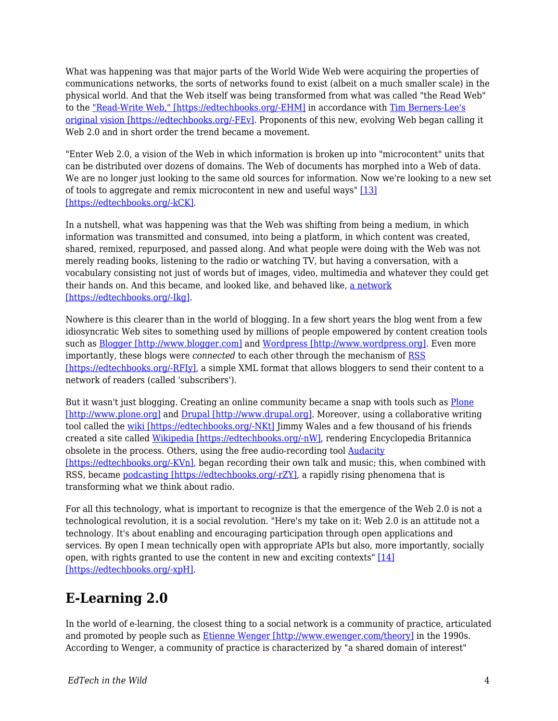What was happening was that major parts of the World Wide Web were acquiring the properties of communications networks, the sorts of networks found to exist (albeit on a much smaller scale) in the physical world. And that the Web itself was being transformed from what was called "the Read Web" to the ["Read-Write Web," \[https://edtechbooks.org/-EHM\]](http://www.authorama.com/we-the-media-3.html) in accordance with [Tim Berners-Lee's](http://blogs.law.harvard.edu/lydon/2004/01/09#a477) [original vision \[https://edtechbooks.org/-FEv\].](http://blogs.law.harvard.edu/lydon/2004/01/09#a477) Proponents of this new, evolving Web began calling it Web 2.0 and in short order the trend became a movement.

"Enter Web 2.0, a vision of the Web in which information is broken up into "microcontent" units that can be distributed over dozens of domains. The Web of documents has morphed into a Web of data. We are no longer just looking to the same old sources for information. Now we're looking to a new set of tools to aggregate and remix microcontent in new and useful ways" [\[13\]](http://www.digital-web.com/articles/web_2_for_designers) [\[https://edtechbooks.org/-kCK\]](http://www.digital-web.com/articles/web_2_for_designers).

In a nutshell, what was happening was that the Web was shifting from being a medium, in which information was transmitted and consumed, into being a platform, in which content was created, shared, remixed, repurposed, and passed along. And what people were doing with the Web was not merely reading books, listening to the radio or watching TV, but having a conversation, with a vocabulary consisting not just of words but of images, video, multimedia and whatever they could get their hands on. And this became, and looked like, and behaved like, [a network](http://www.downes.ca/cgi-bin/website/view.cgi?dbs=Article&key=1109302318) [\[https://edtechbooks.org/-Ikg\]](http://www.downes.ca/cgi-bin/website/view.cgi?dbs=Article&key=1109302318).

Nowhere is this clearer than in the world of blogging. In a few short years the blog went from a few idiosyncratic Web sites to something used by millions of people empowered by content creation tools such as [Blogger \[http://www.blogger.com\]](http://www.blogger.com) and [Wordpress \[http://www.wordpress.org\].](http://www.wordpress.org) Even more importantly, these blogs were *connected* to each other through the mechanism of [RSS](http://www.xml.com/pub/a/2002/12/18/dive-into-xml.html) [\[https://edtechbooks.org/-RFIy\]](http://www.xml.com/pub/a/2002/12/18/dive-into-xml.html), a simple XML format that allows bloggers to send their content to a network of readers (called 'subscribers').

But it wasn't just blogging. Creating an online community became a snap with tools such as [Plone](http://www.plone.org) [\[http://www.plone.org\]](http://www.plone.org) and [Drupal \[http://www.drupal.org\]](http://www.drupal.org). Moreover, using a collaborative writing tool called the [wiki \[https://edtechbooks.org/-NKt\]](http://wiki.org/wiki.cgi?WhatIsWiki) Jimmy Wales and a few thousand of his friends created a site called [Wikipedia \[https://edtechbooks.org/-nW\]](http://en.wikipedia.org/wiki/Main_Page), rendering Encyclopedia Britannica obsolete in the process. Others, using the free audio-recording tool **Audacity** [\[https://edtechbooks.org/-KVn\]](http://audacity.sourceforge.net), began recording their own talk and music; this, when combined with RSS, became [podcasting \[https://edtechbooks.org/-rZY\],](http://en.wikipedia.org/wiki/Podcasting) a rapidly rising phenomena that is transforming what we think about radio.

For all this technology, what is important to recognize is that the emergence of the Web 2.0 is not a technological revolution, it is a social revolution. "Here's my take on it: Web 2.0 is an attitude not a technology. It's about enabling and encouraging participation through open applications and services. By open I mean technically open with appropriate APIs but also, more importantly, socially open, with rights granted to use the content in new and exciting contexts" [\[14\]](http://internetalchemy.org/2005/07/talis-web-20-and-all-that) [\[https://edtechbooks.org/-xpH\]](http://internetalchemy.org/2005/07/talis-web-20-and-all-that).

# **E-Learning 2.0**

In the world of e-learning, the closest thing to a social network is a community of practice, articulated and promoted by people such as **[Etienne Wenger \[http://www.ewenger.com/theory\]](http://www.ewenger.com/theory)** in the 1990s. According to Wenger, a community of practice is characterized by "a shared domain of interest"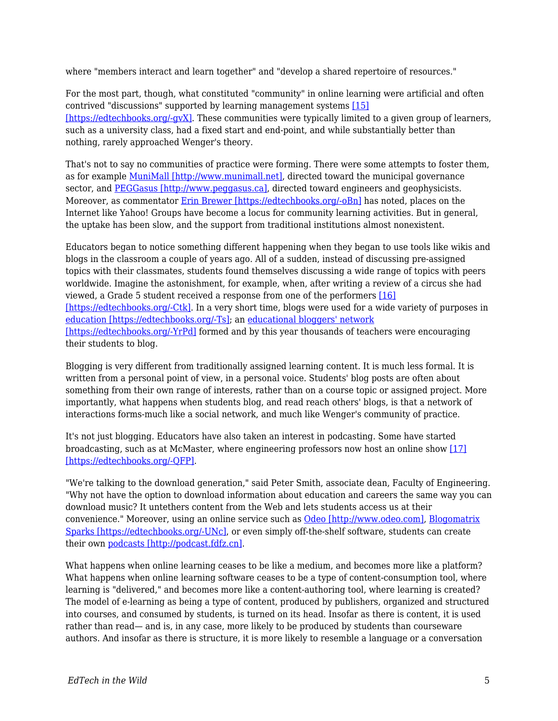where "members interact and learn together" and "develop a shared repertoire of resources."

For the most part, though, what constituted "community" in online learning were artificial and often contrived "discussions" supported by learning management systems [\[15\]](http://www.it.murdoch.edu.au/~sudweeks/papers/icier03.doc) [\[https://edtechbooks.org/-gvX\].](http://www.it.murdoch.edu.au/~sudweeks/papers/icier03.doc) These communities were typically limited to a given group of learners, such as a university class, had a fixed start and end-point, and while substantially better than nothing, rarely approached Wenger's theory.

That's not to say no communities of practice were forming. There were some attempts to foster them, as for example [MuniMall \[http://www.munimall.net\],](http://www.munimall.net) directed toward the municipal governance sector, and [PEGGasus \[http://www.peggasus.ca\]](http://www.peggasus.ca), directed toward engineers and geophysicists. Moreover, as commentator [Erin Brewer \[https://edtechbooks.org/-oBn\]](http://www.downes.ca/cgi-bin/page.cgi?post=25) has noted, places on the Internet like Yahoo! Groups have become a locus for community learning activities. But in general, the uptake has been slow, and the support from traditional institutions almost nonexistent.

Educators began to notice something different happening when they began to use tools like wikis and blogs in the classroom a couple of years ago. All of a sudden, instead of discussing pre-assigned topics with their classmates, students found themselves discussing a wide range of topics with peers worldwide. Imagine the astonishment, for example, when, after writing a review of a circus she had viewed, a Grade 5 student received a response from one of the performers [\[16\]](http://www.educause.edu/pub/er/erm04/erm0450.asp) [\[https://edtechbooks.org/-Ctk\]](http://www.educause.edu/pub/er/erm04/erm0450.asp). In a very short time, blogs were used for a wide variety of purposes in [education \[https://edtechbooks.org/-Ts\];](http://www.edtechpost.ca/gems/matrix2.gif) an [educational bloggers' network](http://www.ebn.weblogger.com%22) [\[https://edtechbooks.org/-YrPd\]](http://www.ebn.weblogger.com%22) formed and by this year thousands of teachers were encouraging their students to blog.

Blogging is very different from traditionally assigned learning content. It is much less formal. It is written from a personal point of view, in a personal voice. Students' blog posts are often about something from their own range of interests, rather than on a course topic or assigned project. More importantly, what happens when students blog, and read reach others' blogs, is that a network of interactions forms-much like a social network, and much like Wenger's community of practice.

It's not just blogging. Educators have also taken an interest in podcasting. Some have started broadcasting, such as at McMaster, where engineering professors now host an online show [\[17\]](http://www.thewhir.com/find/articlecentral/story.asp?recordid=1273) [\[https://edtechbooks.org/-QFP\]](http://www.thewhir.com/find/articlecentral/story.asp?recordid=1273).

"We're talking to the download generation," said Peter Smith, associate dean, Faculty of Engineering. "Why not have the option to download information about education and careers the same way you can download music? It untethers content from the Web and lets students access us at their convenience." Moreover, using an online service such as [Odeo \[http://www.odeo.com\]](http://www.odeo.com), [Blogomatrix](http://www.blogmatrix.com/products_main) [Sparks \[https://edtechbooks.org/-UNc\]](http://www.blogmatrix.com/products_main), or even simply off-the-shelf software, students can create their own [podcasts \[http://podcast.fdfz.cn\].](http://podcast.fdfz.cn)

What happens when online learning ceases to be like a medium, and becomes more like a platform? What happens when online learning software ceases to be a type of content-consumption tool, where learning is "delivered," and becomes more like a content-authoring tool, where learning is created? The model of e-learning as being a type of content, produced by publishers, organized and structured into courses, and consumed by students, is turned on its head. Insofar as there is content, it is used rather than read— and is, in any case, more likely to be produced by students than courseware authors. And insofar as there is structure, it is more likely to resemble a language or a conversation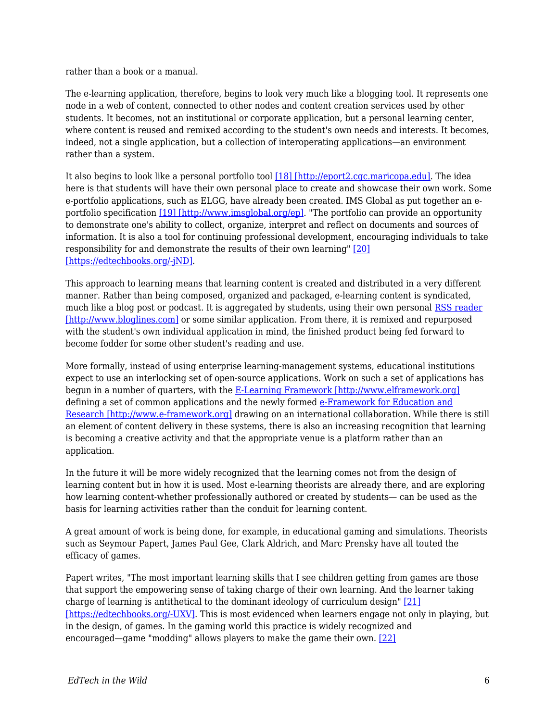rather than a book or a manual.

The e-learning application, therefore, begins to look very much like a blogging tool. It represents one node in a web of content, connected to other nodes and content creation services used by other students. It becomes, not an institutional or corporate application, but a personal learning center, where content is reused and remixed according to the student's own needs and interests. It becomes, indeed, not a single application, but a collection of interoperating applications—an environment rather than a system.

It also begins to look like a personal portfolio tool [\[18\] \[http://eport2.cgc.maricopa.edu\]](http://eport2.cgc.maricopa.edu). The idea here is that students will have their own personal place to create and showcase their own work. Some e-portfolio applications, such as ELGG, have already been created. IMS Global as put together an e-portfolio specification [\[19\] \[http://www.imsglobal.org/ep\]](http://www.imsglobal.org/ep). "The portfolio can provide an opportunity to demonstrate one's ability to collect, organize, interpret and reflect on documents and sources of information. It is also a tool for continuing professional development, encouraging individuals to take responsibility for and demonstrate the results of their own learning" [\[20\]](http://www.eife-l.org/portfolio) [\[https://edtechbooks.org/-jND\]](http://www.eife-l.org/portfolio).

This approach to learning means that learning content is created and distributed in a very different manner. Rather than being composed, organized and packaged, e-learning content is syndicated, much like a blog post or podcast. It is aggregated by students, using their own personal [RSS reader](http://www.bloglines.com) [\[http://www.bloglines.com\]](http://www.bloglines.com) or some similar application. From there, it is remixed and repurposed with the student's own individual application in mind, the finished product being fed forward to become fodder for some other student's reading and use.

More formally, instead of using enterprise learning-management systems, educational institutions expect to use an interlocking set of open-source applications. Work on such a set of applications has begun in a number of quarters, with the [E-Learning Framework \[http://www.elframework.org\]](http://www.elframework.org) defining a set of common applications and the newly formed [e-Framework for Education and](http://www.e-framework.org) [Research \[http://www.e-framework.org\]](http://www.e-framework.org) drawing on an international collaboration. While there is still an element of content delivery in these systems, there is also an increasing recognition that learning is becoming a creative activity and that the appropriate venue is a platform rather than an application.

In the future it will be more widely recognized that the learning comes not from the design of learning content but in how it is used. Most e-learning theorists are already there, and are exploring how learning content-whether professionally authored or created by students— can be used as the basis for learning activities rather than the conduit for learning content.

A great amount of work is being done, for example, in educational gaming and simulations. Theorists such as Seymour Papert, James Paul Gee, Clark Aldrich, and Marc Prensky have all touted the efficacy of games.

Papert writes, "The most important learning skills that I see children getting from games are those that support the empowering sense of taking charge of their own learning. And the learner taking charge of learning is antithetical to the dominant ideology of curriculum design" [\[21\]](http://www.papert.org/articles/Doeseasydoit.html) [\[https://edtechbooks.org/-UXV\].](http://www.papert.org/articles/Doeseasydoit.html) This is most evidenced when learners engage not only in playing, but in the design, of games. In the gaming world this practice is widely recognized and encouraged—game "modding" allows players to make the game their own. [\[22\]](http://www.hollywoodreporter.com/thr/columns/tech_reporter_display.jsp?vnu_content_id=1000484956)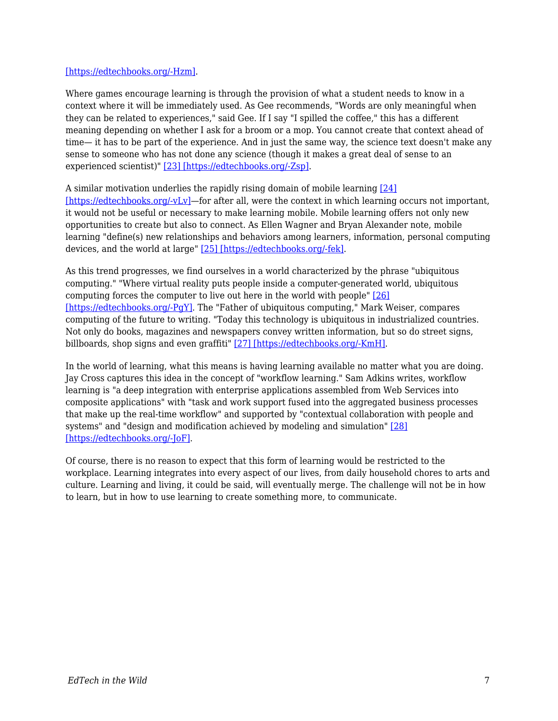#### [\[https://edtechbooks.org/-Hzm\].](http://www.hollywoodreporter.com/thr/columns/tech_reporter_display.jsp?vnu_content_id=1000484956)

Where games encourage learning is through the provision of what a student needs to know in a context where it will be immediately used. As Gee recommends, "Words are only meaningful when they can be related to experiences," said Gee. If I say "I spilled the coffee," this has a different meaning depending on whether I ask for a broom or a mop. You cannot create that context ahead of time— it has to be part of the experience. And in just the same way, the science text doesn't make any sense to someone who has not done any science (though it makes a great deal of sense to an experienced scientist)" [\[23\] \[https://edtechbooks.org/-Zsp\].](http://www.downes.ca/cgi-bin/website/view.cgi?dbs=Article&key=1079385148)

A similar motivation underlies the rapidly rising domain of mobile learning [\[24\]](https://edtechbooks.org/%5Bhttp:/ferl.becta.org.uk/display.cfm?page=65&catid=192&resid=5194&printable=1%22) [\[https://edtechbooks.org/-vLv\]—](https://edtechbooks.org/%5Bhttp:/ferl.becta.org.uk/display.cfm?page=65&catid=192&resid=5194&printable=1%22)for after all, were the context in which learning occurs not important, it would not be useful or necessary to make learning mobile. Mobile learning offers not only new opportunities to create but also to connect. As Ellen Wagner and Bryan Alexander note, mobile learning "define(s) new relationships and behaviors among learners, information, personal computing devices, and the world at large" [\[25\] \[https://edtechbooks.org/-fek\]](http://www.educause.edu/apps/er/erm05/erm0532.asp).

As this trend progresses, we find ourselves in a world characterized by the phrase "ubiquitous computing." "Where virtual reality puts people inside a computer-generated world, ubiquitous computing forces the computer to live out here in the world with people" [\[26\]](http://www.ubiq.com/hypertext/weiser/UbiHome.html) [\[https://edtechbooks.org/-PgY\]](http://www.ubiq.com/hypertext/weiser/UbiHome.html). The "Father of ubiquitous computing," Mark Weiser, compares computing of the future to writing. "Today this technology is ubiquitous in industrialized countries. Not only do books, magazines and newspapers convey written information, but so do street signs, billboards, shop signs and even graffiti" [\[27\] \[https://edtechbooks.org/-KmH\].](http://www.ubiq.com/hypertext/weiser/SciAmDraft3.html)

In the world of learning, what this means is having learning available no matter what you are doing. Jay Cross captures this idea in the concept of "workflow learning." Sam Adkins writes, workflow learning is "a deep integration with enterprise applications assembled from Web Services into composite applications" with "task and work support fused into the aggregated business processes that make up the real-time workflow" and supported by "contextual collaboration with people and systems" and "design and modification achieved by modeling and simulation" [\[28\]](http://www.Internettime.com/workflow/intro_wfl.htm) [\[https://edtechbooks.org/-JoF\].](http://www.Internettime.com/workflow/intro_wfl.htm)

Of course, there is no reason to expect that this form of learning would be restricted to the workplace. Learning integrates into every aspect of our lives, from daily household chores to arts and culture. Learning and living, it could be said, will eventually merge. The challenge will not be in how to learn, but in how to use learning to create something more, to communicate.